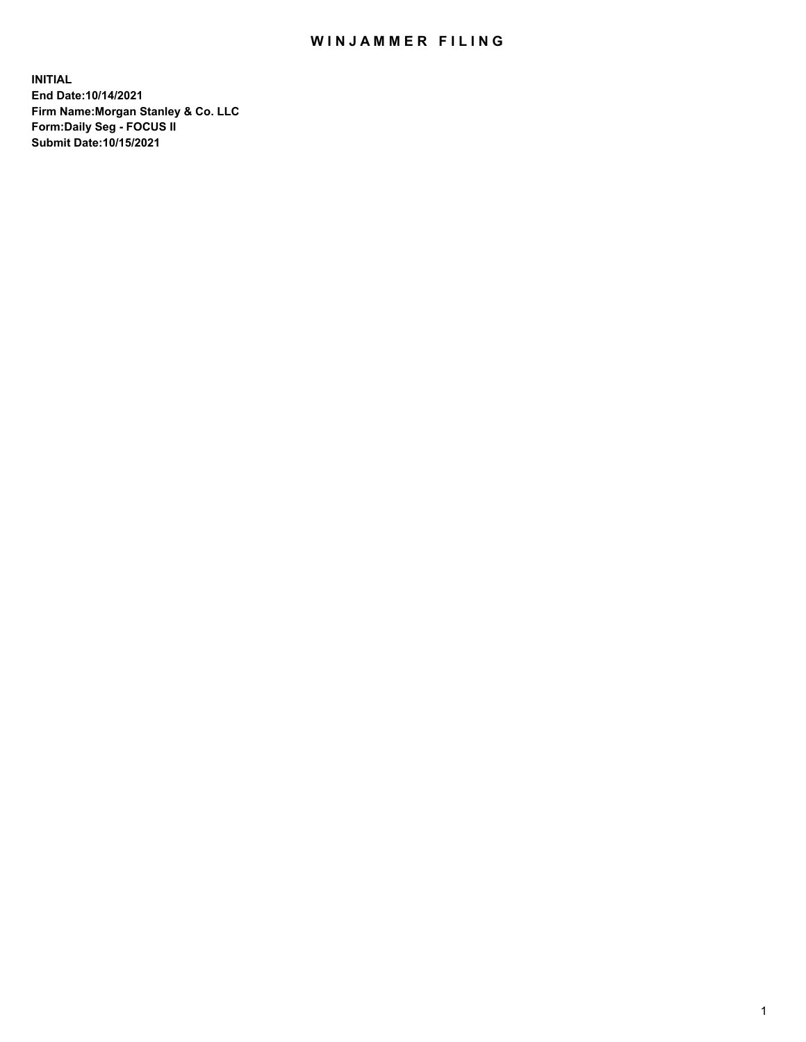## WIN JAMMER FILING

**INITIAL End Date:10/14/2021 Firm Name:Morgan Stanley & Co. LLC Form:Daily Seg - FOCUS II Submit Date:10/15/2021**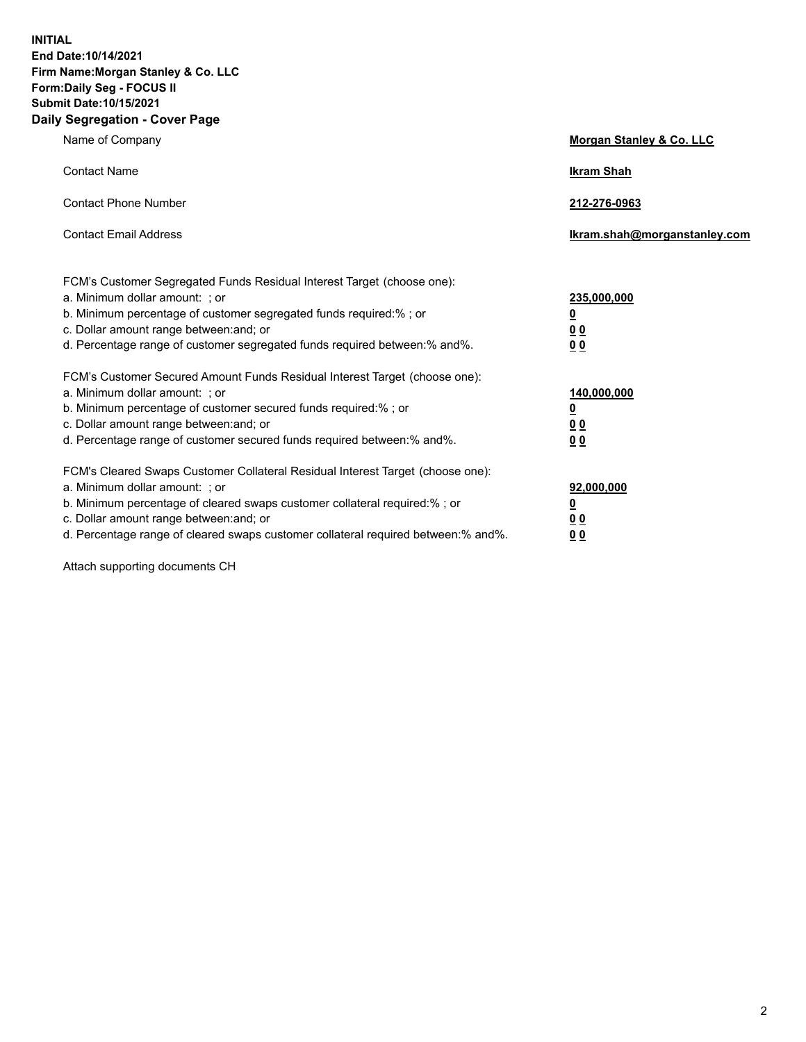**INITIAL End Date:10/14/2021 Firm Name:Morgan Stanley & Co. LLC Form:Daily Seg - FOCUS II Submit Date:10/15/2021 Daily Segregation - Cover Page**

| Name of Company                                                                                                                                                                                                                                                                                                                | Morgan Stanley & Co. LLC                                |
|--------------------------------------------------------------------------------------------------------------------------------------------------------------------------------------------------------------------------------------------------------------------------------------------------------------------------------|---------------------------------------------------------|
| <b>Contact Name</b>                                                                                                                                                                                                                                                                                                            | <b>Ikram Shah</b>                                       |
| <b>Contact Phone Number</b>                                                                                                                                                                                                                                                                                                    | 212-276-0963                                            |
| <b>Contact Email Address</b>                                                                                                                                                                                                                                                                                                   | Ikram.shah@morganstanley.com                            |
| FCM's Customer Segregated Funds Residual Interest Target (choose one):<br>a. Minimum dollar amount: ; or<br>b. Minimum percentage of customer segregated funds required:%; or<br>c. Dollar amount range between: and; or<br>d. Percentage range of customer segregated funds required between: % and %.                        | 235,000,000<br><u>0</u><br>00<br>0 Q                    |
| FCM's Customer Secured Amount Funds Residual Interest Target (choose one):<br>a. Minimum dollar amount: ; or<br>b. Minimum percentage of customer secured funds required:%; or<br>c. Dollar amount range between: and; or<br>d. Percentage range of customer secured funds required between:% and%.                            | 140,000,000<br><u>0</u><br><u>0 0</u><br>0 <sub>0</sub> |
| FCM's Cleared Swaps Customer Collateral Residual Interest Target (choose one):<br>a. Minimum dollar amount: ; or<br>b. Minimum percentage of cleared swaps customer collateral required:% ; or<br>c. Dollar amount range between: and; or<br>d. Percentage range of cleared swaps customer collateral required between:% and%. | 92,000,000<br><u>0</u><br><u>00</u><br>00               |

Attach supporting documents CH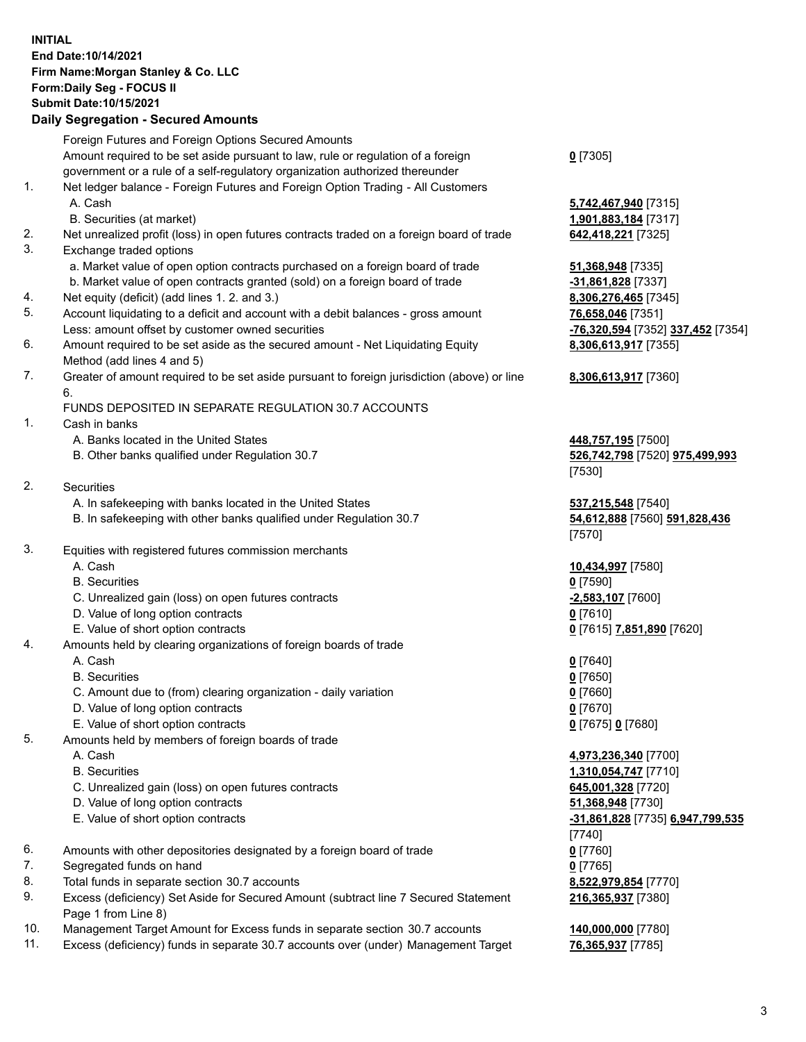## **INITIAL End Date:10/14/2021 Firm Name:Morgan Stanley & Co. LLC Form:Daily Seg - FOCUS II Submit Date:10/15/2021**

## **Daily Segregation - Secured Amounts**

|    | Foreign Futures and Foreign Options Secured Amounts                                               |                                           |
|----|---------------------------------------------------------------------------------------------------|-------------------------------------------|
|    | Amount required to be set aside pursuant to law, rule or regulation of a foreign                  | $0$ [7305]                                |
|    | government or a rule of a self-regulatory organization authorized thereunder                      |                                           |
| 1. | Net ledger balance - Foreign Futures and Foreign Option Trading - All Customers                   |                                           |
|    | A. Cash                                                                                           | 5,742,467,940 [7315]                      |
|    | B. Securities (at market)                                                                         | 1,901,883,184 [7317]                      |
| 2. | Net unrealized profit (loss) in open futures contracts traded on a foreign board of trade         | 642,418,221 [7325]                        |
| 3. | Exchange traded options                                                                           |                                           |
|    | a. Market value of open option contracts purchased on a foreign board of trade                    | 51,368,948 [7335]                         |
|    | b. Market value of open contracts granted (sold) on a foreign board of trade                      | -31,861,828 [7337]                        |
| 4. | Net equity (deficit) (add lines 1. 2. and 3.)                                                     | 8,306,276,465 [7345]                      |
| 5. | Account liquidating to a deficit and account with a debit balances - gross amount                 | 76,658,046 [7351]                         |
|    | Less: amount offset by customer owned securities                                                  | -76,320,594 [7352] 337,452 [7354]         |
| 6. | Amount required to be set aside as the secured amount - Net Liquidating Equity                    | 8,306,613,917 [7355]                      |
|    | Method (add lines 4 and 5)                                                                        |                                           |
| 7. | Greater of amount required to be set aside pursuant to foreign jurisdiction (above) or line<br>6. | 8,306,613,917 [7360]                      |
|    | FUNDS DEPOSITED IN SEPARATE REGULATION 30.7 ACCOUNTS                                              |                                           |
| 1. | Cash in banks                                                                                     |                                           |
|    | A. Banks located in the United States                                                             | 448,757,195 [7500]                        |
|    | B. Other banks qualified under Regulation 30.7                                                    | 526,742,798 [7520] 975,499,993            |
|    |                                                                                                   | [7530]                                    |
| 2. | Securities                                                                                        |                                           |
|    | A. In safekeeping with banks located in the United States                                         | 537,215,548 [7540]                        |
|    | B. In safekeeping with other banks qualified under Regulation 30.7                                | 54,612,888 [7560] 591,828,436<br>$[7570]$ |
| 3. | Equities with registered futures commission merchants                                             |                                           |
|    | A. Cash                                                                                           | 10,434,997 [7580]                         |
|    | <b>B.</b> Securities                                                                              | $0$ [7590]                                |
|    | C. Unrealized gain (loss) on open futures contracts                                               | $-2,583,107$ [7600]                       |
|    | D. Value of long option contracts                                                                 | $0$ [7610]                                |
|    | E. Value of short option contracts                                                                | 0 [7615] 7,851,890 [7620]                 |
| 4. | Amounts held by clearing organizations of foreign boards of trade                                 |                                           |
|    | A. Cash                                                                                           | $0$ [7640]                                |
|    | <b>B.</b> Securities                                                                              | $0$ [7650]                                |
|    | C. Amount due to (from) clearing organization - daily variation                                   | $0$ [7660]                                |
|    | D. Value of long option contracts                                                                 | $0$ [7670]                                |
|    | E. Value of short option contracts                                                                | 0 [7675] 0 [7680]                         |
| 5. | Amounts held by members of foreign boards of trade                                                |                                           |
|    | A. Cash                                                                                           | 4,973,236,340 [7700]                      |
|    | <b>B.</b> Securities                                                                              | 1,310,054,747 [7710]                      |
|    | C. Unrealized gain (loss) on open futures contracts                                               | 645,001,328 [7720]                        |
|    | D. Value of long option contracts                                                                 | 51,368,948 [7730]                         |
|    | E. Value of short option contracts                                                                | -31,861,828 [7735] 6,947,799,535          |
|    |                                                                                                   | $[7740]$                                  |
| 6. | Amounts with other depositories designated by a foreign board of trade                            | $0$ [7760]                                |
| 7. | Segregated funds on hand                                                                          | $0$ [7765]                                |
| 8. | Total funds in separate section 30.7 accounts                                                     | 8,522,979,854 [7770]                      |
| 9. | Excess (deficiency) Set Aside for Secured Amount (subtract line 7 Secured Statement               | 216,365,937 [7380]                        |
|    | Page 1 from Line 8)                                                                               |                                           |

- 10. Management Target Amount for Excess funds in separate section 30.7 accounts **140,000,000** [7780]
- 11. Excess (deficiency) funds in separate 30.7 accounts over (under) Management Target **76,365,937** [7785]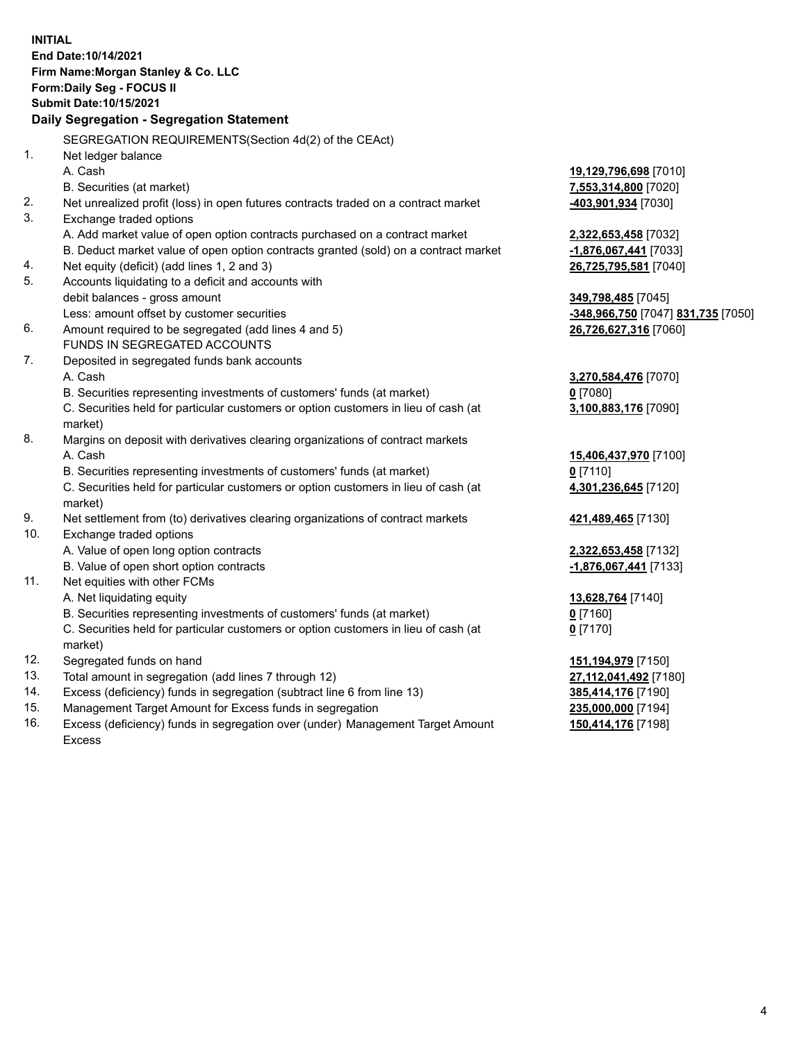**INITIAL End Date:10/14/2021 Firm Name:Morgan Stanley & Co. LLC Form:Daily Seg - FOCUS II Submit Date:10/15/2021 Daily Segregation - Segregation Statement** SEGREGATION REQUIREMENTS(Section 4d(2) of the CEAct) 1. Net ledger balance A. Cash **19,129,796,698** [7010] B. Securities (at market) **7,553,314,800** [7020] 2. Net unrealized profit (loss) in open futures contracts traded on a contract market **-403,901,934** [7030] 3. Exchange traded options A. Add market value of open option contracts purchased on a contract market **2,322,653,458** [7032] B. Deduct market value of open option contracts granted (sold) on a contract market **-1,876,067,441** [7033] 4. Net equity (deficit) (add lines 1, 2 and 3) **26,725,795,581** [7040] 5. Accounts liquidating to a deficit and accounts with debit balances - gross amount **349,798,485** [7045] Less: amount offset by customer securities **-348,966,750** [7047] **831,735** [7050] 6. Amount required to be segregated (add lines 4 and 5) **26,726,627,316** [7060] FUNDS IN SEGREGATED ACCOUNTS 7. Deposited in segregated funds bank accounts A. Cash **3,270,584,476** [7070] B. Securities representing investments of customers' funds (at market) **0** [7080] C. Securities held for particular customers or option customers in lieu of cash (at market) **3,100,883,176** [7090] 8. Margins on deposit with derivatives clearing organizations of contract markets A. Cash **15,406,437,970** [7100] B. Securities representing investments of customers' funds (at market) **0** [7110] C. Securities held for particular customers or option customers in lieu of cash (at market) **4,301,236,645** [7120] 9. Net settlement from (to) derivatives clearing organizations of contract markets **421,489,465** [7130] 10. Exchange traded options A. Value of open long option contracts **2,322,653,458** [7132] B. Value of open short option contracts **-1,876,067,441** [7133] 11. Net equities with other FCMs A. Net liquidating equity **13,628,764** [7140] B. Securities representing investments of customers' funds (at market) **0** [7160] C. Securities held for particular customers or option customers in lieu of cash (at market) **0** [7170] 12. Segregated funds on hand **151,194,979** [7150] 13. Total amount in segregation (add lines 7 through 12) **27,112,041,492** [7180] 14. Excess (deficiency) funds in segregation (subtract line 6 from line 13) **385,414,176** [7190] 15. Management Target Amount for Excess funds in segregation **235,000,000** [7194] **150,414,176** [7198]

16. Excess (deficiency) funds in segregation over (under) Management Target Amount Excess